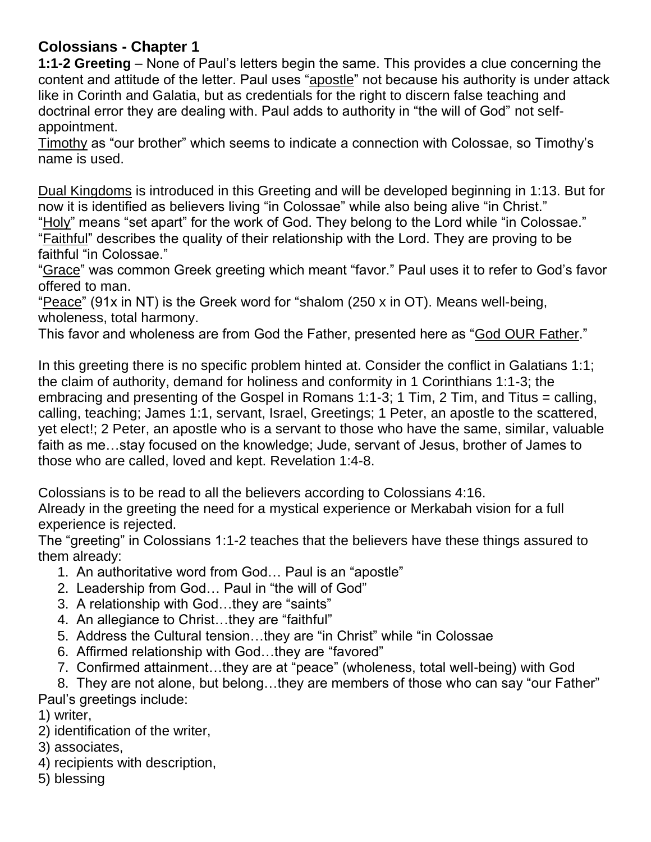## **Colossians - Chapter 1**

**1:1-2 Greeting** – None of Paul's letters begin the same. This provides a clue concerning the content and attitude of the letter. Paul uses "apostle" not because his authority is under attack like in Corinth and Galatia, but as credentials for the right to discern false teaching and doctrinal error they are dealing with. Paul adds to authority in "the will of God" not selfappointment.

Timothy as "our brother" which seems to indicate a connection with Colossae, so Timothy's name is used.

Dual Kingdoms is introduced in this Greeting and will be developed beginning in 1:13. But for now it is identified as believers living "in Colossae" while also being alive "in Christ."

"Holy" means "set apart" for the work of God. They belong to the Lord while "in Colossae." "Faithful" describes the quality of their relationship with the Lord. They are proving to be faithful "in Colossae."

"Grace" was common Greek greeting which meant "favor." Paul uses it to refer to God's favor offered to man.

"Peace" (91x in NT) is the Greek word for "shalom (250 x in OT). Means well-being, wholeness, total harmony.

This favor and wholeness are from God the Father, presented here as "God OUR Father."

In this greeting there is no specific problem hinted at. Consider the conflict in Galatians 1:1; the claim of authority, demand for holiness and conformity in 1 Corinthians 1:1-3; the embracing and presenting of the Gospel in Romans 1:1-3; 1 Tim, 2 Tim, and Titus = calling, calling, teaching; James 1:1, servant, Israel, Greetings; 1 Peter, an apostle to the scattered, yet elect!; 2 Peter, an apostle who is a servant to those who have the same, similar, valuable faith as me…stay focused on the knowledge; Jude, servant of Jesus, brother of James to those who are called, loved and kept. Revelation 1:4-8.

Colossians is to be read to all the believers according to Colossians 4:16.

Already in the greeting the need for a mystical experience or Merkabah vision for a full experience is rejected.

The "greeting" in Colossians 1:1-2 teaches that the believers have these things assured to them already:

- 1. An authoritative word from God… Paul is an "apostle"
- 2. Leadership from God… Paul in "the will of God"
- 3. A relationship with God…they are "saints"
- 4. An allegiance to Christ…they are "faithful"
- 5. Address the Cultural tension…they are "in Christ" while "in Colossae
- 6. Affirmed relationship with God…they are "favored"
- 7. Confirmed attainment…they are at "peace" (wholeness, total well-being) with God

8. They are not alone, but belong…they are members of those who can say "our Father" Paul's greetings include:

1) writer,

- 2) identification of the writer,
- 3) associates,
- 4) recipients with description,
- 5) blessing